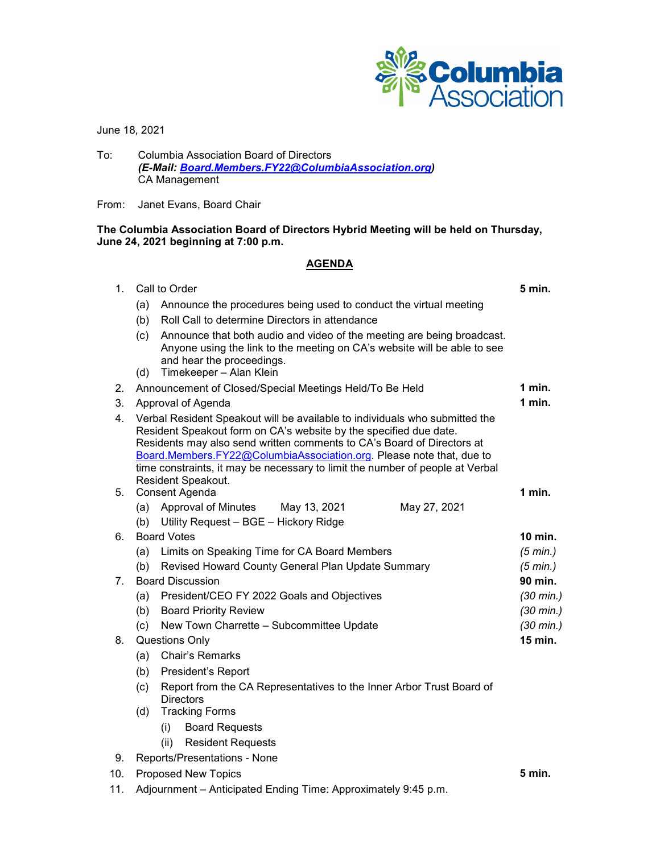

June 18, 2021

To: Columbia Association Board of Directors *(E-Mail: [Board.Members.FY22@ColumbiaAssociation.org\)](mailto:Board.Members.FY22@ColumbiaAssociation.org)* CA Management

From: Janet Evans, Board Chair

**The Columbia Association Board of Directors Hybrid Meeting will be held on Thursday, June 24, 2021 beginning at 7:00 p.m.**

## **AGENDA**

| 1.  | Call to Order                                                                                                                                                                                                                                                                                                                                                                                             |                                                                                                                                                                                                            | 5 min.              |
|-----|-----------------------------------------------------------------------------------------------------------------------------------------------------------------------------------------------------------------------------------------------------------------------------------------------------------------------------------------------------------------------------------------------------------|------------------------------------------------------------------------------------------------------------------------------------------------------------------------------------------------------------|---------------------|
|     | (a)                                                                                                                                                                                                                                                                                                                                                                                                       | Announce the procedures being used to conduct the virtual meeting                                                                                                                                          |                     |
|     | (b)                                                                                                                                                                                                                                                                                                                                                                                                       | Roll Call to determine Directors in attendance                                                                                                                                                             |                     |
|     | (c)<br>(d)                                                                                                                                                                                                                                                                                                                                                                                                | Announce that both audio and video of the meeting are being broadcast.<br>Anyone using the link to the meeting on CA's website will be able to see<br>and hear the proceedings.<br>Timekeeper - Alan Klein |                     |
| 2.  |                                                                                                                                                                                                                                                                                                                                                                                                           | Announcement of Closed/Special Meetings Held/To Be Held                                                                                                                                                    | 1 min.              |
| 3.  | Approval of Agenda                                                                                                                                                                                                                                                                                                                                                                                        |                                                                                                                                                                                                            | $1$ min.            |
| 4.  | Verbal Resident Speakout will be available to individuals who submitted the<br>Resident Speakout form on CA's website by the specified due date.<br>Residents may also send written comments to CA's Board of Directors at<br>Board.Members.FY22@ColumbiaAssociation.org. Please note that, due to<br>time constraints, it may be necessary to limit the number of people at Verbal<br>Resident Speakout. |                                                                                                                                                                                                            |                     |
| 5.  | Consent Agenda                                                                                                                                                                                                                                                                                                                                                                                            |                                                                                                                                                                                                            | $1$ min.            |
|     | (b)                                                                                                                                                                                                                                                                                                                                                                                                       | (a) Approval of Minutes<br>May 13, 2021<br>May 27, 2021<br>Utility Request - BGE - Hickory Ridge                                                                                                           |                     |
| 6.  | <b>Board Votes</b>                                                                                                                                                                                                                                                                                                                                                                                        |                                                                                                                                                                                                            | 10 min.             |
|     | (a)                                                                                                                                                                                                                                                                                                                                                                                                       | Limits on Speaking Time for CA Board Members                                                                                                                                                               | (5 min.)            |
|     | (b)                                                                                                                                                                                                                                                                                                                                                                                                       | Revised Howard County General Plan Update Summary                                                                                                                                                          | $(5 \text{ min.})$  |
| 7.  | <b>Board Discussion</b>                                                                                                                                                                                                                                                                                                                                                                                   |                                                                                                                                                                                                            | 90 min.             |
|     | (a)                                                                                                                                                                                                                                                                                                                                                                                                       | President/CEO FY 2022 Goals and Objectives                                                                                                                                                                 | $(30 \text{ min.})$ |
|     | (b)                                                                                                                                                                                                                                                                                                                                                                                                       | <b>Board Priority Review</b>                                                                                                                                                                               | $(30 \text{ min.})$ |
|     | (c)                                                                                                                                                                                                                                                                                                                                                                                                       | New Town Charrette - Subcommittee Update                                                                                                                                                                   | $(30 \text{ min.})$ |
| 8.  | <b>Questions Only</b>                                                                                                                                                                                                                                                                                                                                                                                     |                                                                                                                                                                                                            | <b>15 min.</b>      |
|     | (a)                                                                                                                                                                                                                                                                                                                                                                                                       | Chair's Remarks                                                                                                                                                                                            |                     |
|     | (b)                                                                                                                                                                                                                                                                                                                                                                                                       | President's Report                                                                                                                                                                                         |                     |
|     | Report from the CA Representatives to the Inner Arbor Trust Board of<br>(c)<br><b>Directors</b>                                                                                                                                                                                                                                                                                                           |                                                                                                                                                                                                            |                     |
|     | (d)                                                                                                                                                                                                                                                                                                                                                                                                       | <b>Tracking Forms</b>                                                                                                                                                                                      |                     |
|     |                                                                                                                                                                                                                                                                                                                                                                                                           | (i)<br><b>Board Requests</b>                                                                                                                                                                               |                     |
|     |                                                                                                                                                                                                                                                                                                                                                                                                           | (ii)<br><b>Resident Requests</b>                                                                                                                                                                           |                     |
| 9.  |                                                                                                                                                                                                                                                                                                                                                                                                           | Reports/Presentations - None                                                                                                                                                                               |                     |
| 10. | <b>Proposed New Topics</b>                                                                                                                                                                                                                                                                                                                                                                                |                                                                                                                                                                                                            | 5 min.              |
| 11. | Adjournment - Anticipated Ending Time: Approximately 9:45 p.m.                                                                                                                                                                                                                                                                                                                                            |                                                                                                                                                                                                            |                     |